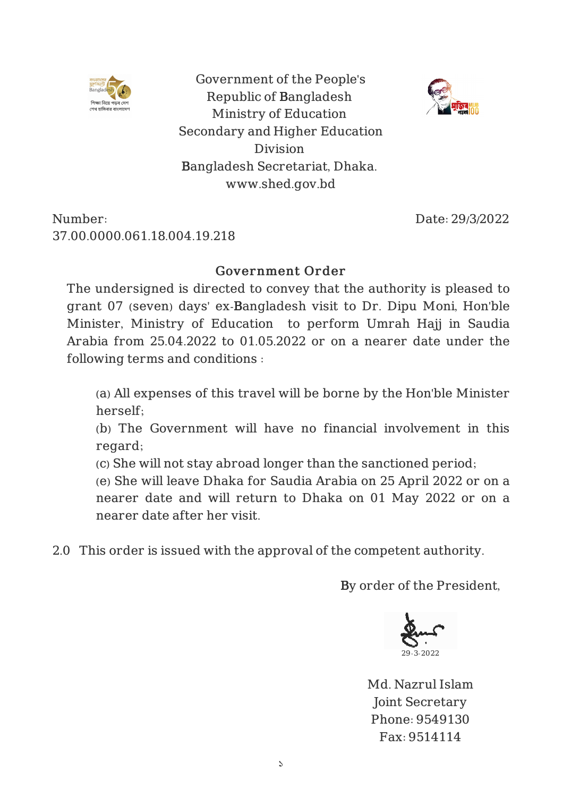

Government of the People's Republic of Bangladesh Ministry of Education Secondary and Higher Education Division Bangladesh Secretariat, Dhaka. www.shed.gov.bd

Number: 37.00.0000.061.18.004.19.218 Date: 29/3/2022

## Government Order

The undersigned is directed to convey that the authority is pleased to grant 07 (seven) days' ex-Bangladesh visit to Dr. Dipu Moni, Hon'ble Minister, Ministry of Education to perform Umrah Hajj in Saudia Arabia from 25.04.2022 to 01.05.2022 or on a nearer date under the following terms and conditions :

(a) All expenses of this travel will be borne by the Hon'ble Minister herself;

(b) The Government will have no financial involvement in this regard;

(c) She will not stay abroad longer than the sanctioned period;

(e) She will leave Dhaka for Saudia Arabia on 25 April 2022 or on a nearer date and will return to Dhaka on 01 May 2022 or on a nearer date after her visit.

2.0 This order is issued with the approval of the competent authority.

By order of the President,



Md. Nazrul Islam Joint Secretary Phone: 9549130 Fax: 9514114